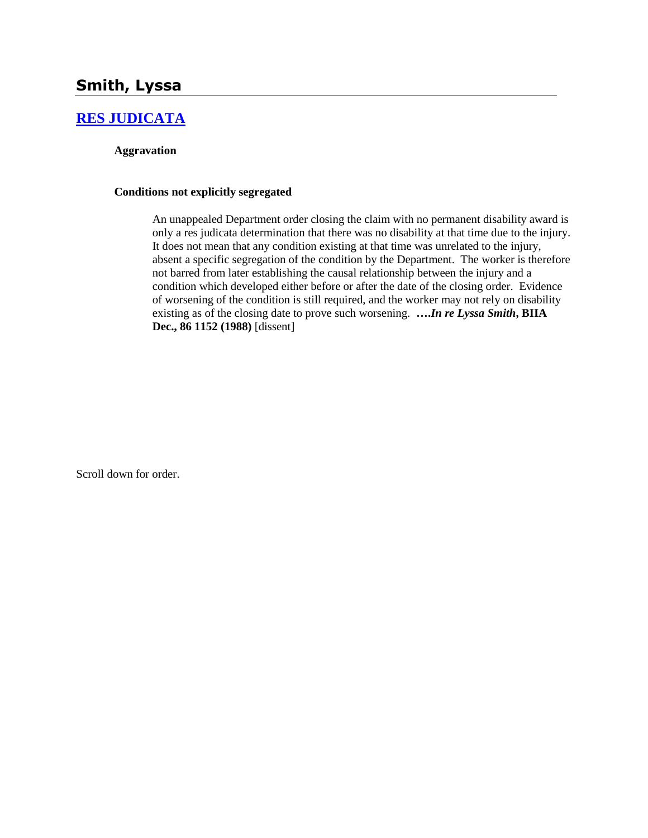# **Smith, Lyssa**

# **[RES JUDICATA](http://www.biia.wa.gov/SDSubjectIndex.html#RES_JUDICATA)**

### **Aggravation**

### **Conditions not explicitly segregated**

An unappealed Department order closing the claim with no permanent disability award is only a res judicata determination that there was no disability at that time due to the injury. It does not mean that any condition existing at that time was unrelated to the injury, absent a specific segregation of the condition by the Department. The worker is therefore not barred from later establishing the causal relationship between the injury and a condition which developed either before or after the date of the closing order. Evidence of worsening of the condition is still required, and the worker may not rely on disability existing as of the closing date to prove such worsening. **….***In re Lyssa Smith***, BIIA Dec., 86 1152 (1988)** [dissent]

Scroll down for order.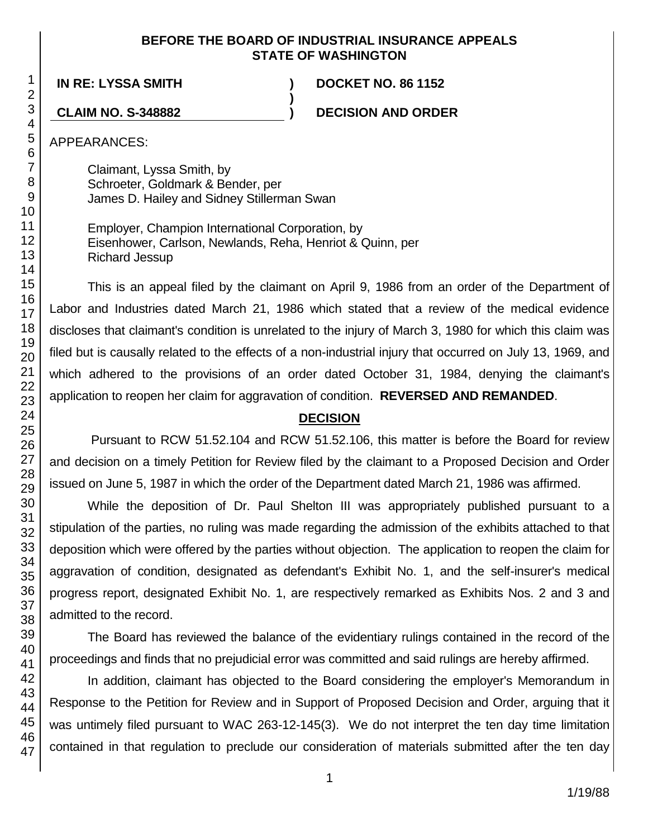## **BEFORE THE BOARD OF INDUSTRIAL INSURANCE APPEALS STATE OF WASHINGTON**

**)**

**IN RE: LYSSA SMITH ) DOCKET NO. 86 1152**

**CLAIM NO. S-348882 ) DECISION AND ORDER**

APPEARANCES:

Claimant, Lyssa Smith, by Schroeter, Goldmark & Bender, per James D. Hailey and Sidney Stillerman Swan

Employer, Champion International Corporation, by Eisenhower, Carlson, Newlands, Reha, Henriot & Quinn, per Richard Jessup

This is an appeal filed by the claimant on April 9, 1986 from an order of the Department of Labor and Industries dated March 21, 1986 which stated that a review of the medical evidence discloses that claimant's condition is unrelated to the injury of March 3, 1980 for which this claim was filed but is causally related to the effects of a non-industrial injury that occurred on July 13, 1969, and which adhered to the provisions of an order dated October 31, 1984, denying the claimant's application to reopen her claim for aggravation of condition. **REVERSED AND REMANDED**.

# **DECISION**

Pursuant to RCW 51.52.104 and RCW 51.52.106, this matter is before the Board for review and decision on a timely Petition for Review filed by the claimant to a Proposed Decision and Order issued on June 5, 1987 in which the order of the Department dated March 21, 1986 was affirmed.

While the deposition of Dr. Paul Shelton III was appropriately published pursuant to a stipulation of the parties, no ruling was made regarding the admission of the exhibits attached to that deposition which were offered by the parties without objection. The application to reopen the claim for aggravation of condition, designated as defendant's Exhibit No. 1, and the self-insurer's medical progress report, designated Exhibit No. 1, are respectively remarked as Exhibits Nos. 2 and 3 and admitted to the record.

The Board has reviewed the balance of the evidentiary rulings contained in the record of the proceedings and finds that no prejudicial error was committed and said rulings are hereby affirmed.

In addition, claimant has objected to the Board considering the employer's Memorandum in Response to the Petition for Review and in Support of Proposed Decision and Order, arguing that it was untimely filed pursuant to WAC 263-12-145(3). We do not interpret the ten day time limitation contained in that regulation to preclude our consideration of materials submitted after the ten day

1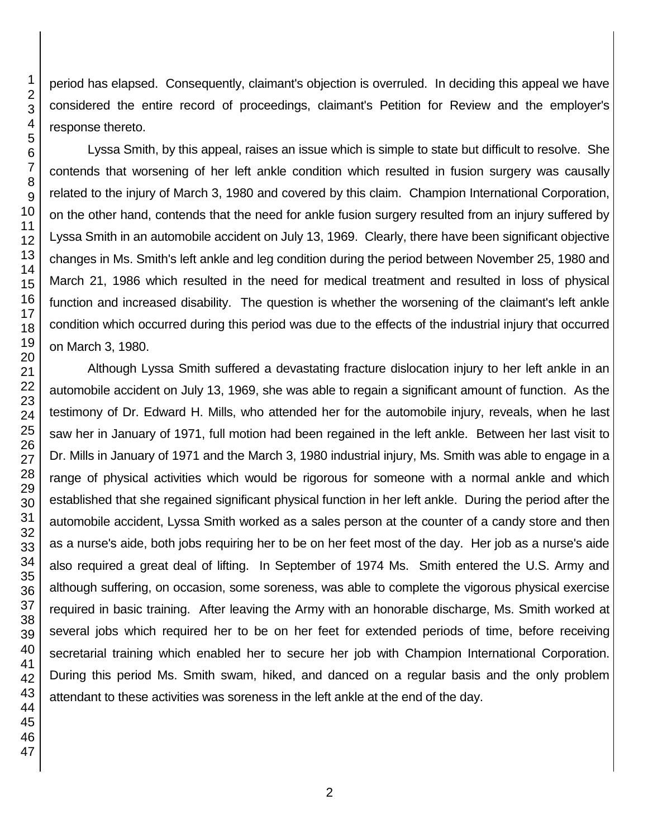period has elapsed. Consequently, claimant's objection is overruled. In deciding this appeal we have considered the entire record of proceedings, claimant's Petition for Review and the employer's response thereto.

Lyssa Smith, by this appeal, raises an issue which is simple to state but difficult to resolve. She contends that worsening of her left ankle condition which resulted in fusion surgery was causally related to the injury of March 3, 1980 and covered by this claim. Champion International Corporation, on the other hand, contends that the need for ankle fusion surgery resulted from an injury suffered by Lyssa Smith in an automobile accident on July 13, 1969. Clearly, there have been significant objective changes in Ms. Smith's left ankle and leg condition during the period between November 25, 1980 and March 21, 1986 which resulted in the need for medical treatment and resulted in loss of physical function and increased disability. The question is whether the worsening of the claimant's left ankle condition which occurred during this period was due to the effects of the industrial injury that occurred on March 3, 1980.

Although Lyssa Smith suffered a devastating fracture dislocation injury to her left ankle in an automobile accident on July 13, 1969, she was able to regain a significant amount of function. As the testimony of Dr. Edward H. Mills, who attended her for the automobile injury, reveals, when he last saw her in January of 1971, full motion had been regained in the left ankle. Between her last visit to Dr. Mills in January of 1971 and the March 3, 1980 industrial injury, Ms. Smith was able to engage in a range of physical activities which would be rigorous for someone with a normal ankle and which established that she regained significant physical function in her left ankle. During the period after the automobile accident, Lyssa Smith worked as a sales person at the counter of a candy store and then as a nurse's aide, both jobs requiring her to be on her feet most of the day. Her job as a nurse's aide also required a great deal of lifting. In September of 1974 Ms. Smith entered the U.S. Army and although suffering, on occasion, some soreness, was able to complete the vigorous physical exercise required in basic training. After leaving the Army with an honorable discharge, Ms. Smith worked at several jobs which required her to be on her feet for extended periods of time, before receiving secretarial training which enabled her to secure her job with Champion International Corporation. During this period Ms. Smith swam, hiked, and danced on a regular basis and the only problem attendant to these activities was soreness in the left ankle at the end of the day.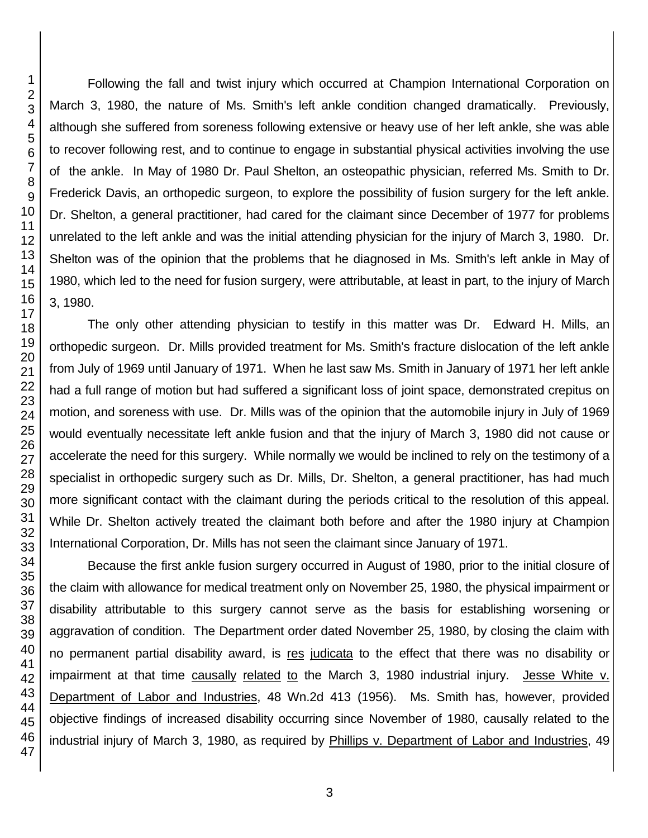Following the fall and twist injury which occurred at Champion International Corporation on March 3, 1980, the nature of Ms. Smith's left ankle condition changed dramatically. Previously, although she suffered from soreness following extensive or heavy use of her left ankle, she was able to recover following rest, and to continue to engage in substantial physical activities involving the use of the ankle. In May of 1980 Dr. Paul Shelton, an osteopathic physician, referred Ms. Smith to Dr. Frederick Davis, an orthopedic surgeon, to explore the possibility of fusion surgery for the left ankle. Dr. Shelton, a general practitioner, had cared for the claimant since December of 1977 for problems unrelated to the left ankle and was the initial attending physician for the injury of March 3, 1980. Dr. Shelton was of the opinion that the problems that he diagnosed in Ms. Smith's left ankle in May of 1980, which led to the need for fusion surgery, were attributable, at least in part, to the injury of March 3, 1980.

The only other attending physician to testify in this matter was Dr. Edward H. Mills, an orthopedic surgeon. Dr. Mills provided treatment for Ms. Smith's fracture dislocation of the left ankle from July of 1969 until January of 1971. When he last saw Ms. Smith in January of 1971 her left ankle had a full range of motion but had suffered a significant loss of joint space, demonstrated crepitus on motion, and soreness with use. Dr. Mills was of the opinion that the automobile injury in July of 1969 would eventually necessitate left ankle fusion and that the injury of March 3, 1980 did not cause or accelerate the need for this surgery. While normally we would be inclined to rely on the testimony of a specialist in orthopedic surgery such as Dr. Mills, Dr. Shelton, a general practitioner, has had much more significant contact with the claimant during the periods critical to the resolution of this appeal. While Dr. Shelton actively treated the claimant both before and after the 1980 injury at Champion International Corporation, Dr. Mills has not seen the claimant since January of 1971.

Because the first ankle fusion surgery occurred in August of 1980, prior to the initial closure of the claim with allowance for medical treatment only on November 25, 1980, the physical impairment or disability attributable to this surgery cannot serve as the basis for establishing worsening or aggravation of condition. The Department order dated November 25, 1980, by closing the claim with no permanent partial disability award, is res judicata to the effect that there was no disability or impairment at that time causally related to the March 3, 1980 industrial injury. Jesse White v. Department of Labor and Industries, 48 Wn.2d 413 (1956). Ms. Smith has, however, provided objective findings of increased disability occurring since November of 1980, causally related to the industrial injury of March 3, 1980, as required by Phillips v. Department of Labor and Industries, 49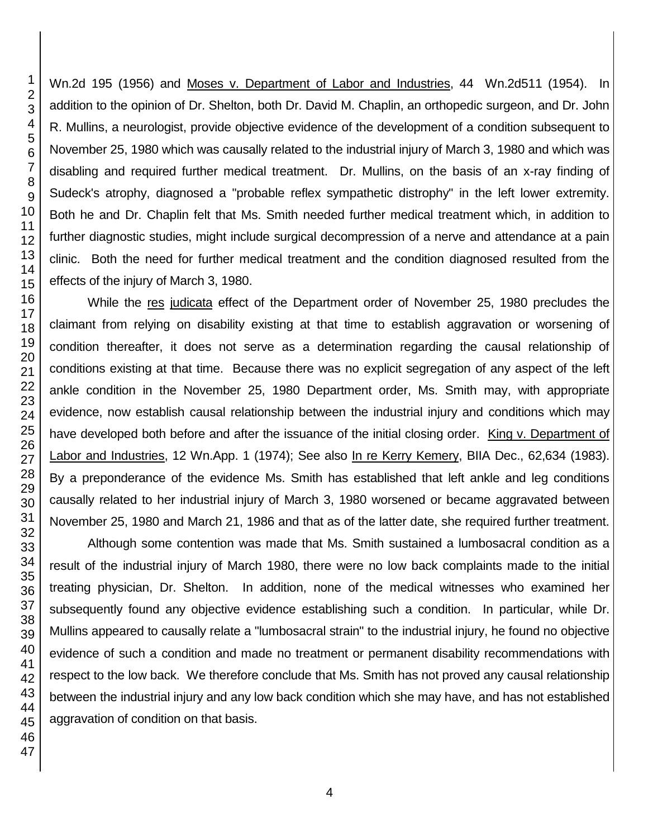Wn.2d 195 (1956) and Moses v. Department of Labor and Industries, 44 Wn.2d511 (1954). In addition to the opinion of Dr. Shelton, both Dr. David M. Chaplin, an orthopedic surgeon, and Dr. John R. Mullins, a neurologist, provide objective evidence of the development of a condition subsequent to November 25, 1980 which was causally related to the industrial injury of March 3, 1980 and which was disabling and required further medical treatment. Dr. Mullins, on the basis of an x-ray finding of Sudeck's atrophy, diagnosed a "probable reflex sympathetic distrophy" in the left lower extremity. Both he and Dr. Chaplin felt that Ms. Smith needed further medical treatment which, in addition to further diagnostic studies, might include surgical decompression of a nerve and attendance at a pain clinic. Both the need for further medical treatment and the condition diagnosed resulted from the effects of the injury of March 3, 1980.

While the res judicata effect of the Department order of November 25, 1980 precludes the claimant from relying on disability existing at that time to establish aggravation or worsening of condition thereafter, it does not serve as a determination regarding the causal relationship of conditions existing at that time. Because there was no explicit segregation of any aspect of the left ankle condition in the November 25, 1980 Department order, Ms. Smith may, with appropriate evidence, now establish causal relationship between the industrial injury and conditions which may have developed both before and after the issuance of the initial closing order. King v. Department of Labor and Industries, 12 Wn.App. 1 (1974); See also In re Kerry Kemery, BIIA Dec., 62,634 (1983). By a preponderance of the evidence Ms. Smith has established that left ankle and leg conditions causally related to her industrial injury of March 3, 1980 worsened or became aggravated between November 25, 1980 and March 21, 1986 and that as of the latter date, she required further treatment.

Although some contention was made that Ms. Smith sustained a lumbosacral condition as a result of the industrial injury of March 1980, there were no low back complaints made to the initial treating physician, Dr. Shelton. In addition, none of the medical witnesses who examined her subsequently found any objective evidence establishing such a condition. In particular, while Dr. Mullins appeared to causally relate a "lumbosacral strain" to the industrial injury, he found no objective evidence of such a condition and made no treatment or permanent disability recommendations with respect to the low back. We therefore conclude that Ms. Smith has not proved any causal relationship between the industrial injury and any low back condition which she may have, and has not established aggravation of condition on that basis.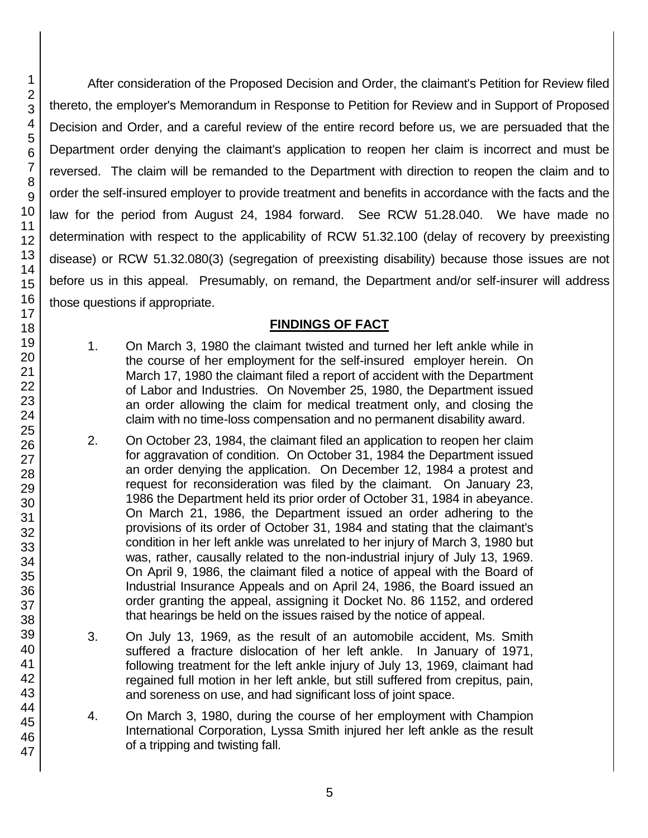After consideration of the Proposed Decision and Order, the claimant's Petition for Review filed thereto, the employer's Memorandum in Response to Petition for Review and in Support of Proposed Decision and Order, and a careful review of the entire record before us, we are persuaded that the Department order denying the claimant's application to reopen her claim is incorrect and must be reversed. The claim will be remanded to the Department with direction to reopen the claim and to order the self-insured employer to provide treatment and benefits in accordance with the facts and the law for the period from August 24, 1984 forward. See RCW 51.28.040. We have made no determination with respect to the applicability of RCW 51.32.100 (delay of recovery by preexisting disease) or RCW 51.32.080(3) (segregation of preexisting disability) because those issues are not before us in this appeal. Presumably, on remand, the Department and/or self-insurer will address those questions if appropriate.

## **FINDINGS OF FACT**

- 1. On March 3, 1980 the claimant twisted and turned her left ankle while in the course of her employment for the self-insured employer herein. On March 17, 1980 the claimant filed a report of accident with the Department of Labor and Industries. On November 25, 1980, the Department issued an order allowing the claim for medical treatment only, and closing the claim with no time-loss compensation and no permanent disability award.
- 2. On October 23, 1984, the claimant filed an application to reopen her claim for aggravation of condition. On October 31, 1984 the Department issued an order denying the application. On December 12, 1984 a protest and request for reconsideration was filed by the claimant. On January 23, 1986 the Department held its prior order of October 31, 1984 in abeyance. On March 21, 1986, the Department issued an order adhering to the provisions of its order of October 31, 1984 and stating that the claimant's condition in her left ankle was unrelated to her injury of March 3, 1980 but was, rather, causally related to the non-industrial injury of July 13, 1969. On April 9, 1986, the claimant filed a notice of appeal with the Board of Industrial Insurance Appeals and on April 24, 1986, the Board issued an order granting the appeal, assigning it Docket No. 86 1152, and ordered that hearings be held on the issues raised by the notice of appeal.
- 3. On July 13, 1969, as the result of an automobile accident, Ms. Smith suffered a fracture dislocation of her left ankle. In January of 1971, following treatment for the left ankle injury of July 13, 1969, claimant had regained full motion in her left ankle, but still suffered from crepitus, pain, and soreness on use, and had significant loss of joint space.
- 4. On March 3, 1980, during the course of her employment with Champion International Corporation, Lyssa Smith injured her left ankle as the result of a tripping and twisting fall.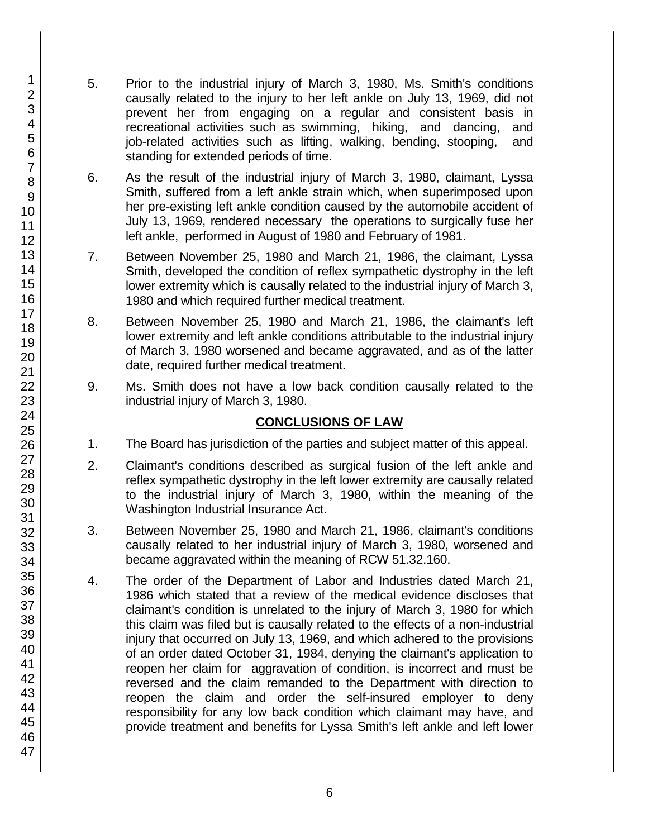- 5. Prior to the industrial injury of March 3, 1980, Ms. Smith's conditions causally related to the injury to her left ankle on July 13, 1969, did not prevent her from engaging on a regular and consistent basis in recreational activities such as swimming, hiking, and dancing, and job-related activities such as lifting, walking, bending, stooping, and standing for extended periods of time.
- 6. As the result of the industrial injury of March 3, 1980, claimant, Lyssa Smith, suffered from a left ankle strain which, when superimposed upon her pre-existing left ankle condition caused by the automobile accident of July 13, 1969, rendered necessary the operations to surgically fuse her left ankle, performed in August of 1980 and February of 1981.
- 7. Between November 25, 1980 and March 21, 1986, the claimant, Lyssa Smith, developed the condition of reflex sympathetic dystrophy in the left lower extremity which is causally related to the industrial injury of March 3, 1980 and which required further medical treatment.
- 8. Between November 25, 1980 and March 21, 1986, the claimant's left lower extremity and left ankle conditions attributable to the industrial injury of March 3, 1980 worsened and became aggravated, and as of the latter date, required further medical treatment.
- 9. Ms. Smith does not have a low back condition causally related to the industrial injury of March 3, 1980.

# **CONCLUSIONS OF LAW**

- 1. The Board has jurisdiction of the parties and subject matter of this appeal.
- 2. Claimant's conditions described as surgical fusion of the left ankle and reflex sympathetic dystrophy in the left lower extremity are causally related to the industrial injury of March 3, 1980, within the meaning of the Washington Industrial Insurance Act.
- 3. Between November 25, 1980 and March 21, 1986, claimant's conditions causally related to her industrial injury of March 3, 1980, worsened and became aggravated within the meaning of RCW 51.32.160.
- 4. The order of the Department of Labor and Industries dated March 21, 1986 which stated that a review of the medical evidence discloses that claimant's condition is unrelated to the injury of March 3, 1980 for which this claim was filed but is causally related to the effects of a non-industrial injury that occurred on July 13, 1969, and which adhered to the provisions of an order dated October 31, 1984, denying the claimant's application to reopen her claim for aggravation of condition, is incorrect and must be reversed and the claim remanded to the Department with direction to reopen the claim and order the self-insured employer to deny responsibility for any low back condition which claimant may have, and provide treatment and benefits for Lyssa Smith's left ankle and left lower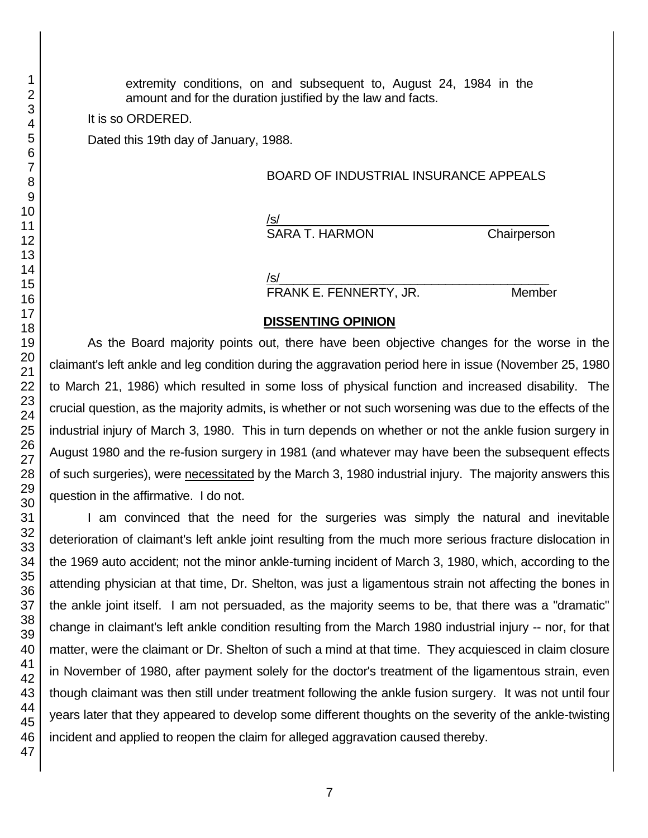extremity conditions, on and subsequent to, August 24, 1984 in the amount and for the duration justified by the law and facts.

It is so ORDERED.

Dated this 19th day of January, 1988.

BOARD OF INDUSTRIAL INSURANCE APPEALS

/s/  $\,$ 

SARA T. HARMON Chairperson

/s/  $\,$ 

FRANK E. FENNERTY, JR. Member

## **DISSENTING OPINION**

As the Board majority points out, there have been objective changes for the worse in the claimant's left ankle and leg condition during the aggravation period here in issue (November 25, 1980 to March 21, 1986) which resulted in some loss of physical function and increased disability. The crucial question, as the majority admits, is whether or not such worsening was due to the effects of the industrial injury of March 3, 1980. This in turn depends on whether or not the ankle fusion surgery in August 1980 and the re-fusion surgery in 1981 (and whatever may have been the subsequent effects of such surgeries), were necessitated by the March 3, 1980 industrial injury. The majority answers this question in the affirmative. I do not.

I am convinced that the need for the surgeries was simply the natural and inevitable deterioration of claimant's left ankle joint resulting from the much more serious fracture dislocation in the 1969 auto accident; not the minor ankle-turning incident of March 3, 1980, which, according to the attending physician at that time, Dr. Shelton, was just a ligamentous strain not affecting the bones in the ankle joint itself. I am not persuaded, as the majority seems to be, that there was a "dramatic" change in claimant's left ankle condition resulting from the March 1980 industrial injury -- nor, for that matter, were the claimant or Dr. Shelton of such a mind at that time. They acquiesced in claim closure in November of 1980, after payment solely for the doctor's treatment of the ligamentous strain, even though claimant was then still under treatment following the ankle fusion surgery. It was not until four years later that they appeared to develop some different thoughts on the severity of the ankle-twisting incident and applied to reopen the claim for alleged aggravation caused thereby.